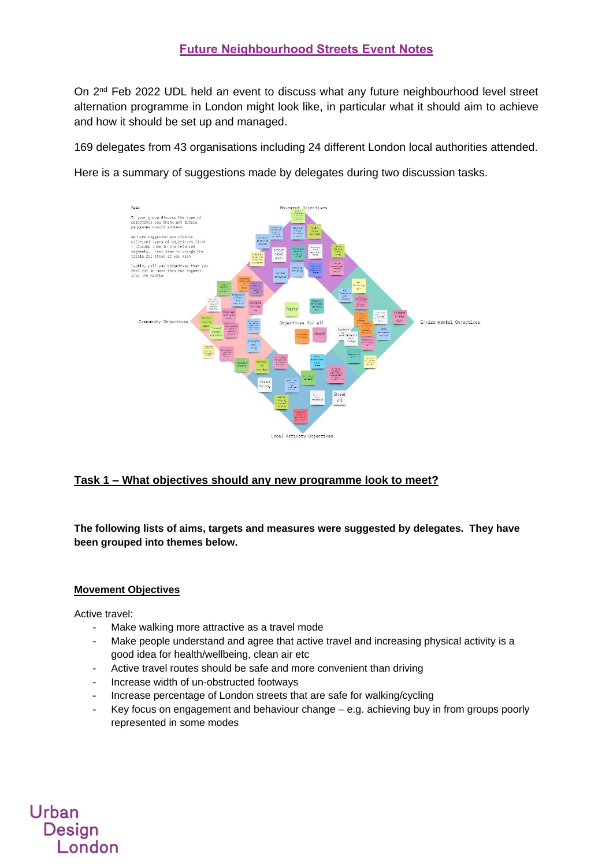On 2<sup>nd</sup> Feb 2022 UDL held an event to discuss what any future neighbourhood level street alternation programme in London might look like, in particular what it should aim to achieve and how it should be set up and managed.

169 delegates from 43 organisations including 24 different London local authorities attended.

Here is a summary of suggestions made by delegates during two discussion tasks.



#### **Task 1 – What objectives should any new programme look to meet?**

**The following lists of aims, targets and measures were suggested by delegates. They have been grouped into themes below.**

#### **Movement Objectives**

Active travel:

Urban

Design

London

- Make walking more attractive as a travel mode
- Make people understand and agree that active travel and increasing physical activity is a good idea for health/wellbeing, clean air etc
- Active travel routes should be safe and more convenient than driving
- Increase width of un-obstructed footways
- Increase percentage of London streets that are safe for walking/cycling
- Key focus on engagement and behaviour change  $-$  e.g. achieving buy in from groups poorly represented in some modes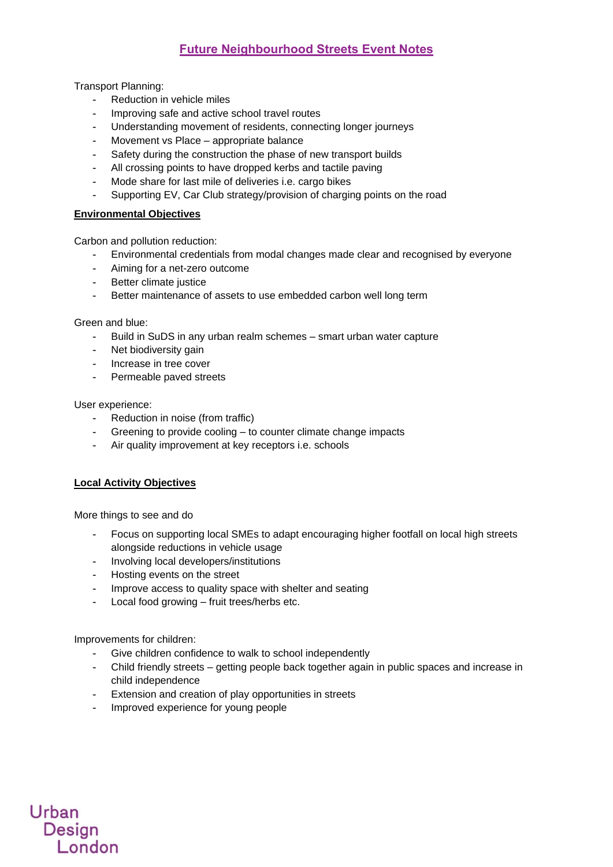### **Future Neighbourhood Streets Event Notes**

Transport Planning:

- Reduction in vehicle miles
- Improving safe and active school travel routes
- Understanding movement of residents, connecting longer journeys
- Movement vs Place appropriate balance
- Safety during the construction the phase of new transport builds
- All crossing points to have dropped kerbs and tactile paving
- Mode share for last mile of deliveries i.e. cargo bikes
- Supporting EV, Car Club strategy/provision of charging points on the road

#### **Environmental Objectives**

Carbon and pollution reduction:

- Environmental credentials from modal changes made clear and recognised by everyone
- Aiming for a net-zero outcome
- Better climate justice
- Better maintenance of assets to use embedded carbon well long term

Green and blue:

- Build in SuDS in any urban realm schemes smart urban water capture
- Net biodiversity gain
- Increase in tree cover
- Permeable paved streets

User experience:

- Reduction in noise (from traffic)
- Greening to provide cooling to counter climate change impacts
- Air quality improvement at key receptors i.e. schools

#### **Local Activity Objectives**

More things to see and do

- Focus on supporting local SMEs to adapt encouraging higher footfall on local high streets alongside reductions in vehicle usage
- Involving local developers/institutions
- Hosting events on the street
- Improve access to quality space with shelter and seating
- Local food growing fruit trees/herbs etc.

Improvements for children:

Urban

Design

**London** 

- Give children confidence to walk to school independently
- Child friendly streets getting people back together again in public spaces and increase in child independence
- Extension and creation of play opportunities in streets
- Improved experience for young people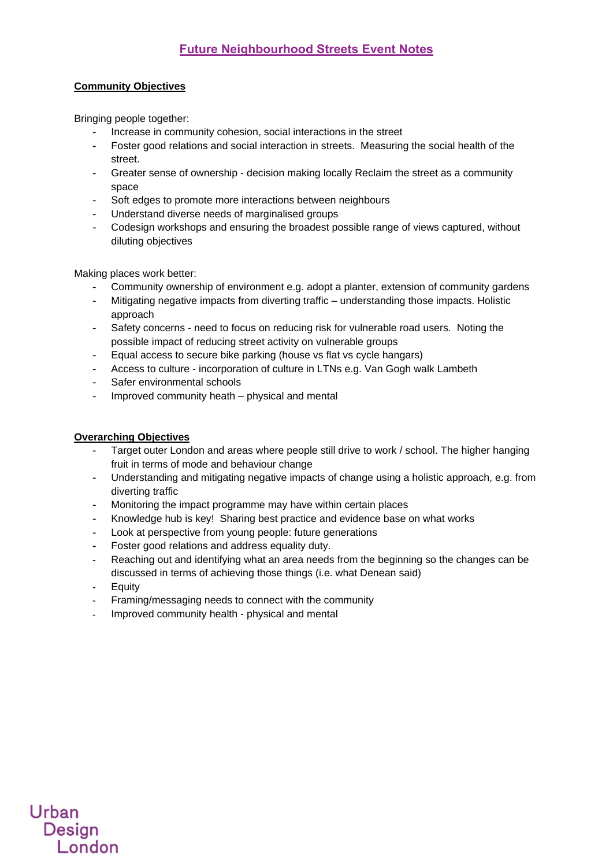#### **Community Objectives**

Bringing people together:

- Increase in community cohesion, social interactions in the street
- Foster good relations and social interaction in streets. Measuring the social health of the street.
- Greater sense of ownership decision making locally Reclaim the street as a community space
- Soft edges to promote more interactions between neighbours
- Understand diverse needs of marginalised groups
- Codesign workshops and ensuring the broadest possible range of views captured, without diluting objectives

Making places work better:

- Community ownership of environment e.g. adopt a planter, extension of community gardens
- Mitigating negative impacts from diverting traffic understanding those impacts. Holistic approach
- Safety concerns need to focus on reducing risk for vulnerable road users. Noting the possible impact of reducing street activity on vulnerable groups
- Equal access to secure bike parking (house vs flat vs cycle hangars)
- Access to culture incorporation of culture in LTNs e.g. Van Gogh walk Lambeth
- Safer environmental schools
- Improved community heath physical and mental

#### **Overarching Objectives**

- Target outer London and areas where people still drive to work / school. The higher hanging fruit in terms of mode and behaviour change
- Understanding and mitigating negative impacts of change using a holistic approach, e.g. from diverting traffic
- Monitoring the impact programme may have within certain places
- Knowledge hub is key! Sharing best practice and evidence base on what works
- Look at perspective from young people: future generations
- Foster good relations and address equality duty.
- Reaching out and identifying what an area needs from the beginning so the changes can be discussed in terms of achieving those things (i.e. what Denean said)
- **Equity**

Urban

Design

- Framing/messaging needs to connect with the community
- Improved community health physical and mental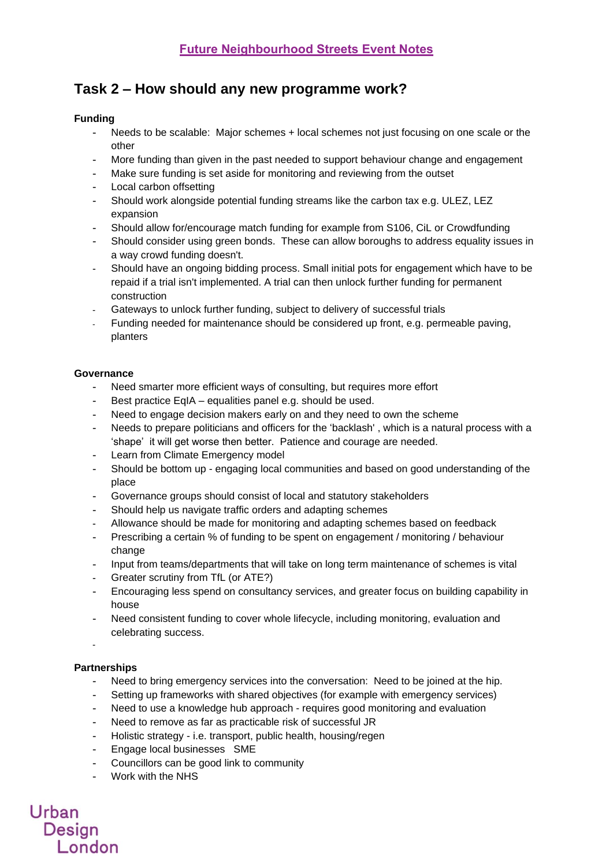# **Task 2 – How should any new programme work?**

#### **Funding**

- Needs to be scalable: Major schemes + local schemes not just focusing on one scale or the other
- More funding than given in the past needed to support behaviour change and engagement
- Make sure funding is set aside for monitoring and reviewing from the outset
- Local carbon offsetting
- Should work alongside potential funding streams like the carbon tax e.g. ULEZ, LEZ expansion
- Should allow for/encourage match funding for example from S106, CiL or Crowdfunding
- Should consider using green bonds. These can allow boroughs to address equality issues in a way crowd funding doesn't.
- Should have an ongoing bidding process. Small initial pots for engagement which have to be repaid if a trial isn't implemented. A trial can then unlock further funding for permanent construction
- Gateways to unlock further funding, subject to delivery of successful trials
- Funding needed for maintenance should be considered up front, e.g. permeable paving, planters

#### **Governance**

- Need smarter more efficient ways of consulting, but requires more effort
- Best practice EqIA equalities panel e.g. should be used.
- Need to engage decision makers early on and they need to own the scheme
- Needs to prepare politicians and officers for the 'backlash', which is a natural process with a 'shape' it will get worse then better. Patience and courage are needed.
- Learn from Climate Emergency model
- Should be bottom up engaging local communities and based on good understanding of the place
- Governance groups should consist of local and statutory stakeholders
- Should help us navigate traffic orders and adapting schemes
- Allowance should be made for monitoring and adapting schemes based on feedback
- Prescribing a certain % of funding to be spent on engagement / monitoring / behaviour change
- Input from teams/departments that will take on long term maintenance of schemes is vital
- Greater scrutiny from TfL (or ATE?)
- Encouraging less spend on consultancy services, and greater focus on building capability in house
- Need consistent funding to cover whole lifecycle, including monitoring, evaluation and celebrating success.

# **Partnerships**

-

Urban

Design

**London** 

- Need to bring emergency services into the conversation: Need to be joined at the hip.
- Setting up frameworks with shared objectives (for example with emergency services)
- Need to use a knowledge hub approach requires good monitoring and evaluation
- Need to remove as far as practicable risk of successful JR
- Holistic strategy i.e. transport, public health, housing/regen
- Engage local businesses SME
- Councillors can be good link to community
- Work with the NHS